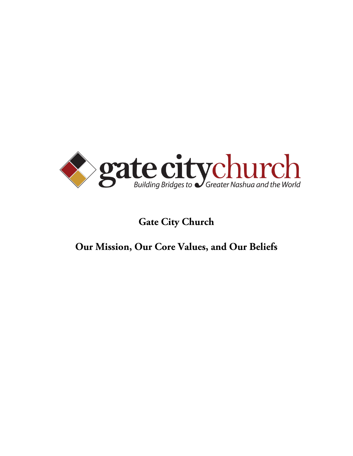

### **Gate City Church**

## **Our Mission, Our Core Values, and Our Beliefs**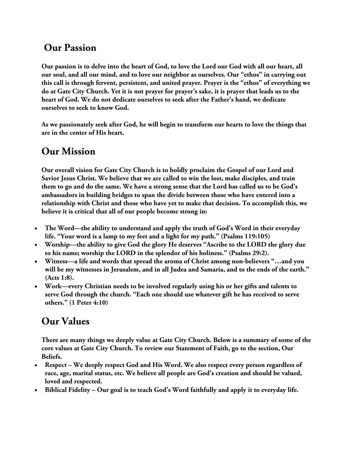### **Our Passion**

**Our passion is to delve into the heart of God, to love the Lord our God with all our heart, all our soul, and all our mind, and to love our neighbor as ourselves. Our "ethos" in carrying out this call is through fervent, persistent, and united prayer. Prayer is the "ethos" of everything we do at Gate City Church. Yet it is not prayer for prayer's sake, it is prayer that leads us to the heart of God. We do not dedicate ourselves to seek after the Father's hand, we dedicate ourselves to seek to know God.**

**As we passionately seek after God, he will begin to transform our hearts to love the things that are in the center of His heart.** 

### **Our Mission**

**Our overall vision for Gate City Church is to boldly proclaim the Gospel of our Lord and Savior Jesus Christ. We believe that we are called to win the lost, make disciples, and train them to go and do the same. We have a strong sense that the Lord has called us to be God's ambassadors in building bridges to span the divide between those who have entered into a relationship with Christ and those who have yet to make that decision. To accomplish this, we believe it is critical that all of our people become strong in:**

- **The Word—the ability to understand and apply the truth of God's Word in their everyday life. "Your word is a lamp to my feet and a light for my path." (Psalms 119:105)**
- **Worship—the ability to give God the glory He deserves "Ascribe to the LORD the glory due to his name; worship the LORD in the splendor of his holiness." (Psalms 29:2).**
- **Witness—a life and words that spread the aroma of Christ among non-believers "…and you will be my witnesses in Jerusalem, and in all Judea and Samaria, and to the ends of the earth." (Acts 1:8).**
- **Work—every Christian needs to be involved regularly using his or her gifts and talents to serve God through the church. "Each one should use whatever gift he has received to serve others." (1 Peter 4:10)**

# **Our Values**

**There are many things we deeply value at Gate City Church. Below is a summary of some of the core values at Gate City Church. To review our Statement of Faith, go to the section, Our Beliefs.**

- **Respect – We deeply respect God and His Word. We also respect every person regardless of race, age, marital status, etc. We believe all people are God's creation and should be valued, loved and respected.**
- **Biblical Fidelity – Our goal is to teach God's Word faithfully and apply it to everyday life.**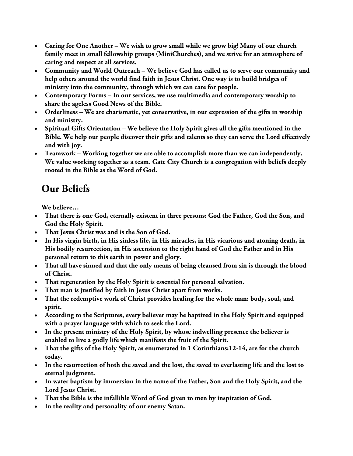- **Caring for One Another – We wish to grow small while we grow big! Many of our church family meet in small fellowship groups (MiniChurches), and we strive for an atmosphere of caring and respect at all services.**
- **Community and World Outreach – We believe God has called us to serve our community and help others around the world find faith in Jesus Christ. One way is to build bridges of ministry into the community, through which we can care for people.**
- **Contemporary Forms – In our services, we use multimedia and contemporary worship to share the ageless Good News of the Bible.**
- **Orderliness – We are charismatic, yet conservative, in our expression of the gifts in worship and ministry.**
- **Spiritual Gifts Orientation – We believe the Holy Spirit gives all the gifts mentioned in the Bible. We help our people discover their gifts and talents so they can serve the Lord effectively and with joy.**
- **Teamwork – Working together we are able to accomplish more than we can independently. We value working together as a team. Gate City Church is a congregation with beliefs deeply rooted in the Bible as the Word of God.**

# **Our Beliefs**

**We believe…**

- **That there is one God, eternally existent in three persons: God the Father, God the Son, and God the Holy Spirit.**
- **That Jesus Christ was and is the Son of God.**
- **In His virgin birth, in His sinless life, in His miracles, in His vicarious and atoning death, in His bodily resurrection, in His ascension to the right hand of God the Father and in His personal return to this earth in power and glory.**
- **That all have sinned and that the only means of being cleansed from sin is through the blood of Christ.**
- **That regeneration by the Holy Spirit is essential for personal salvation.**
- **That man is justified by faith in Jesus Christ apart from works.**
- **That the redemptive work of Christ provides healing for the whole man: body, soul, and spirit.**
- **According to the Scriptures, every believer may be baptized in the Holy Spirit and equipped with a prayer language with which to seek the Lord.**
- **In the present ministry of the Holy Spirit, by whose indwelling presence the believer is enabled to live a godly life which manifests the fruit of the Spirit.**
- **That the gifts of the Holy Spirit, as enumerated in 1 Corinthians:12-14, are for the church today.**
- **In the resurrection of both the saved and the lost, the saved to everlasting life and the lost to eternal judgment.**
- **In water baptism by immersion in the name of the Father, Son and the Holy Spirit, and the Lord Jesus Christ.**
- **That the Bible is the infallible Word of God given to men by inspiration of God.**
- **In the reality and personality of our enemy Satan.**